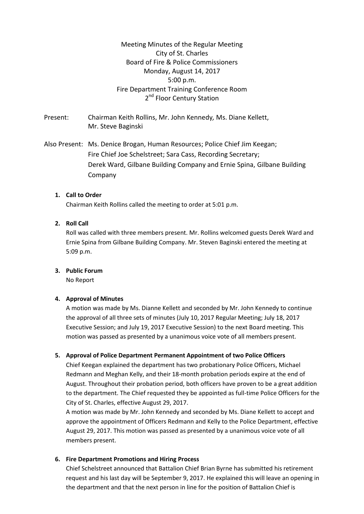Meeting Minutes of the Regular Meeting City of St. Charles Board of Fire & Police Commissioners Monday, August 14, 2017 5:00 p.m. Fire Department Training Conference Room 2<sup>nd</sup> Floor Century Station

Present: Chairman Keith Rollins, Mr. John Kennedy*,* Ms. Diane Kellett, Mr. Steve Baginski

Also Present: Ms. Denice Brogan, Human Resources; Police Chief Jim Keegan; Fire Chief Joe Schelstreet; Sara Cass, Recording Secretary; Derek Ward, Gilbane Building Company and Ernie Spina, Gilbane Building Company

## **1. Call to Order**

Chairman Keith Rollins called the meeting to order at 5:01 p.m.

## **2. Roll Call**

Roll was called with three members present. Mr. Rollins welcomed guests Derek Ward and Ernie Spina from Gilbane Building Company. Mr. Steven Baginski entered the meeting at 5:09 p.m.

#### **3. Public Forum**

No Report

#### **4. Approval of Minutes**

A motion was made by Ms. Dianne Kellett and seconded by Mr. John Kennedy to continue the approval of all three sets of minutes (July 10, 2017 Regular Meeting; July 18, 2017 Executive Session; and July 19, 2017 Executive Session) to the next Board meeting. This motion was passed as presented by a unanimous voice vote of all members present.

#### **5. Approval of Police Department Permanent Appointment of two Police Officers**

Chief Keegan explained the department has two probationary Police Officers, Michael Redmann and Meghan Kelly, and their 18-month probation periods expire at the end of August. Throughout their probation period, both officers have proven to be a great addition to the department. The Chief requested they be appointed as full-time Police Officers for the City of St. Charles, effective August 29, 2017.

A motion was made by Mr. John Kennedy and seconded by Ms. Diane Kellett to accept and approve the appointment of Officers Redmann and Kelly to the Police Department, effective August 29, 2017. This motion was passed as presented by a unanimous voice vote of all members present.

#### **6. Fire Department Promotions and Hiring Process**

Chief Schelstreet announced that Battalion Chief Brian Byrne has submitted his retirement request and his last day will be September 9, 2017. He explained this will leave an opening in the department and that the next person in line for the position of Battalion Chief is